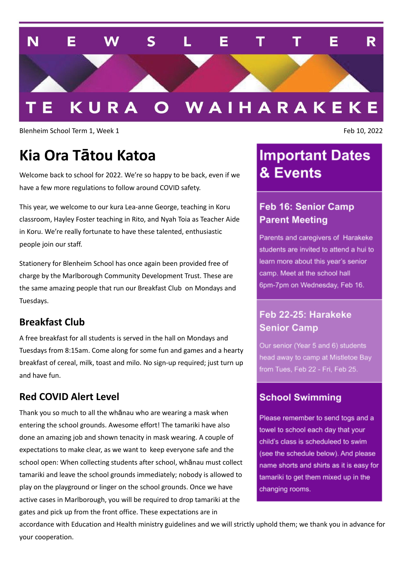

Blenheim School Term 1, Week 1 Feb 10, 2022

# **Kia Ora Tātou Katoa**

Welcome back to school for 2022. We're so happy to be back, even if we have a few more regulations to follow around COVID safety.

This year, we welcome to our kura Lea-anne George, teaching in Koru classroom, Hayley Foster teaching in Rito, and Nyah Toia as Teacher Aide in Koru. We're really fortunate to have these talented, enthusiastic people join our staff.

Stationery for Blenheim School has once again been provided free of charge by the Marlborough Community Development Trust. These are the same amazing people that run our Breakfast Club on Mondays and Tuesdays.

#### **Breakfast Club**

A free breakfast for all students is served in the hall on Mondays and Tuesdays from 8:15am. Come along for some fun and games and a hearty breakfast of cereal, milk, toast and milo. No sign-up required; just turn up and have fun.

#### **Red COVID Alert Level**

Thank you so much to all the whānau who are wearing a mask when entering the school grounds. Awesome effort! The tamariki have also done an amazing job and shown tenacity in mask wearing. A couple of expectations to make clear, as we want to keep everyone safe and the school open: When collecting students after school, whānau must collect tamariki and leave the school grounds immediately; nobody is allowed to play on the playground or linger on the school grounds. Once we have active cases in Marlborough, you will be required to drop tamariki at the gates and pick up from the front office. These expectations are in

**Important Dates** & Events

#### **Feb 16: Senior Camp Parent Meeting**

Parents and caregivers of Harakeke students are invited to attend a hui to learn more about this vear's senior camp. Meet at the school hall 6pm-7pm on Wednesday, Feb 16.

#### Feb 22-25: Harakeke **Senior Camp**

Our senior (Year 5 and 6) students head away to camp at Mistletoe Bay from Tues, Feb 22 - Fri, Feb 25.

#### **School Swimming**

Please remember to send togs and a towel to school each day that your child's class is scheduleed to swim (see the schedule below). And please name shorts and shirts as it is easy for tamariki to get them mixed up in the changing rooms.

accordance with Education and Health ministry guidelines and we will strictly uphold them; we thank you in advance for your cooperation.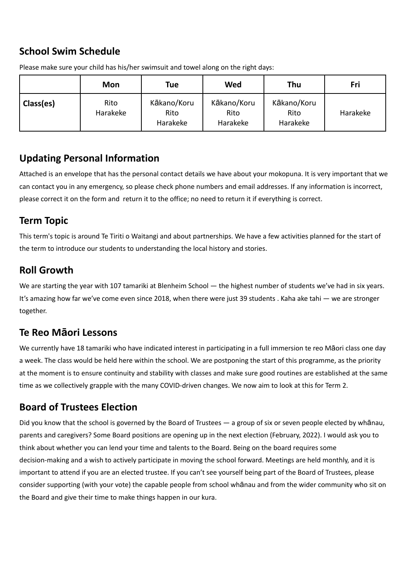## **School Swim Schedule**

|           | <b>Mon</b>       | <b>Tue</b>                      | Wed                             | Thu                             | Fri      |
|-----------|------------------|---------------------------------|---------------------------------|---------------------------------|----------|
| Class(es) | Rito<br>Harakeke | Kākano/Koru<br>Rito<br>Harakeke | Kākano/Koru<br>Rito<br>Harakeke | Kākano/Koru<br>Rito<br>Harakeke | Harakeke |

Please make sure your child has his/her swimsuit and towel along on the right days:

#### **Updating Personal Information**

Attached is an envelope that has the personal contact details we have about your mokopuna. It is very important that we can contact you in any emergency, so please check phone numbers and email addresses. If any information is incorrect, please correct it on the form and return it to the office; no need to return it if everything is correct.

#### **Term Topic**

This term's topic is around Te Tiriti o Waitangi and about partnerships. We have a few activities planned for the start of the term to introduce our students to understanding the local history and stories.

#### **Roll Growth**

We are starting the year with 107 tamariki at Blenheim School — the highest number of students we've had in six years. It's amazing how far we've come even since 2018, when there were just 39 students . Kaha ake tahi — we are stronger together.

#### **Te Reo Māori Lessons**

We currently have 18 tamariki who have indicated interest in participating in a full immersion te reo Māori class one day a week. The class would be held here within the school. We are postponing the start of this programme, as the priority at the moment is to ensure continuity and stability with classes and make sure good routines are established at the same time as we collectively grapple with the many COVID-driven changes. We now aim to look at this for Term 2.

#### **Board of Trustees Election**

Did you know that the school is governed by the Board of Trustees — a group of six or seven people elected by whānau, parents and caregivers? Some Board positions are opening up in the next election (February, 2022). I would ask you to think about whether you can lend your time and talents to the Board. Being on the board requires some decision-making and a wish to actively participate in moving the school forward. Meetings are held monthly, and it is important to attend if you are an elected trustee. If you can't see yourself being part of the Board of Trustees, please consider supporting (with your vote) the capable people from school whānau and from the wider community who sit on the Board and give their time to make things happen in our kura.